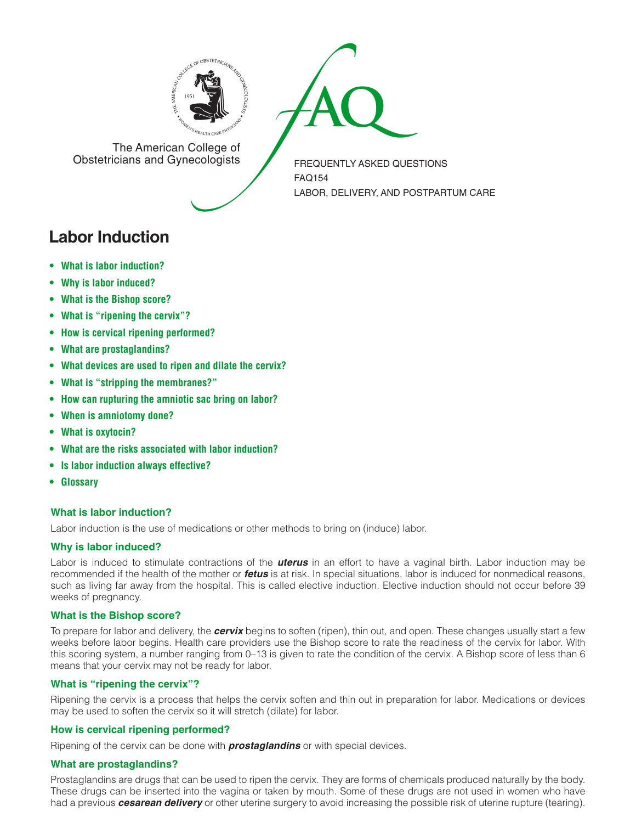



The American College of<br>Obstetricians and Gynecologists

FREQUENTLY ASKED QUESTIONS FAQ154 LABOR, DELIVERY, AND POSTPARTUM CARE

# **Labor Induction**

- **• What is labor [induction?](#page-0-0)**
- **• Why is labor [induced?](#page-0-1)**
- **[• What](#page-0-2) is the Bishop score?**
- **• What is "ripening the cervix"?**
- **• How is cervical ripening [performed?](#page-0-3)**
- **• What are [prostaglandins?](#page-0-4)**
- **[• What](#page-1-0) devices are used to ripen and dilate the cervix?**
- **• What is "stripping the membranes?"**
- **• How can [rupturing](#page-1-1) the amniotic sac bring on labor?**
- **• When is [amniotomy](#page-1-2) done?**
- **• What is [oxytocin?](#page-1-3)**
- **• What are the risks [associated](#page-1-4) with labor induction?**
- **• Is labor induction always [effective?](#page-1-5)**
- **[• Glossary](#page-1-6)**

# <span id="page-0-0"></span>**What is labor induction?**

Labor induction is the use of medications or other methods to bring on (induce) labor.

# <span id="page-0-1"></span>**Why is labor induced?**

Labor is induced to stimulate contractions of the *uterus* in an effort to have a vaginal birth. Labor induction may be recommended if the health of the mother or *fetus* is at risk. In special situations, labor is induced for nonmedical reasons, such as living far away from the hospital. This is called elective induction. Elective induction should not occur before 39 weeks of pregnancy.

# <span id="page-0-2"></span>**What is the Bishop score?**

To prepare for labor and delivery, the *cervix* begins to soften (ripen), thin out, and open. These changes usually start a few weeks before labor begins. Health care providers use the Bishop score to rate the readiness of the cervix for labor. With this scoring system, a number ranging from 0–13 is given to rate the condition of the cervix. A Bishop score of less than 6 means that your cervix may not be ready for labor.

## **What is "ripening the cervix"?**

Ripening the cervix is a process that helps the cervix soften and thin out in preparation for labor. Medications or devices may be used to soften the cervix so it will stretch (dilate) for labor.

# <span id="page-0-3"></span>**How is cervical ripening performed?**

Ripening of the cervix can be done with *prostaglandins* or with special devices.

# <span id="page-0-4"></span>**What are prostaglandins?**

Prostaglandins are drugs that can be used to ripen the cervix. They are forms of chemicals produced naturally by the body. These drugs can be inserted into the vagina or taken by mouth. Some of these drugs are not used in women who have had a previous *cesarean delivery* or other uterine surgery to avoid increasing the possible risk of uterine rupture (tearing).